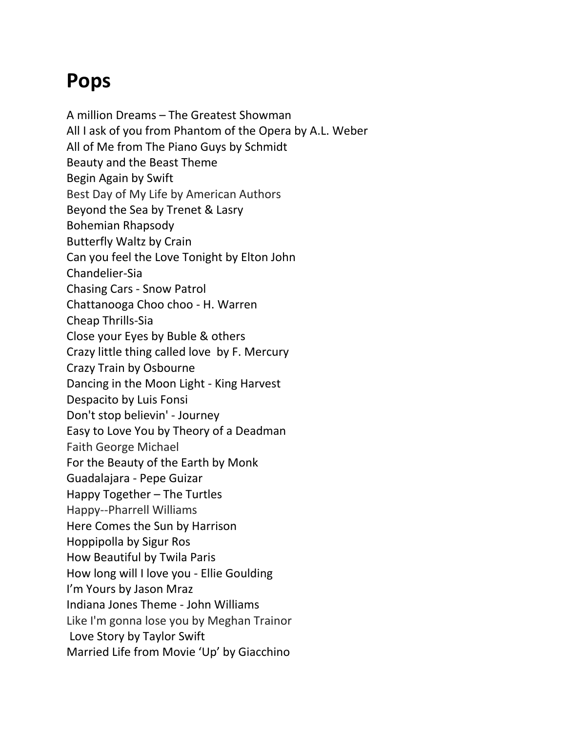## **Pops**

A million Dreams – The Greatest Showman All I ask of you from Phantom of the Opera by A.L. Weber All of Me from The Piano Guys by Schmidt Beauty and the Beast Theme Begin Again by Swift Best Day of My Life by American Authors Beyond the Sea by Trenet & Lasry Bohemian Rhapsody Butterfly Waltz by Crain Can you feel the Love Tonight by Elton John Chandelier-Sia Chasing Cars - Snow Patrol Chattanooga Choo choo - H. Warren Cheap Thrills-Sia Close your Eyes by Buble & others Crazy little thing called love by F. Mercury Crazy Train by Osbourne Dancing in the Moon Light - King Harvest Despacito by Luis Fonsi Don't stop believin' - Journey Easy to Love You by Theory of a Deadman Faith George Michael For the Beauty of the Earth by Monk Guadalajara - Pepe Guizar Happy Together – The Turtles Happy--Pharrell Williams Here Comes the Sun by Harrison Hoppipolla by Sigur Ros How Beautiful by Twila Paris How long will I love you - Ellie Goulding I'm Yours by Jason Mraz Indiana Jones Theme - John Williams Like I'm gonna lose you by Meghan Trainor Love Story by Taylor Swift Married Life from Movie 'Up' by Giacchino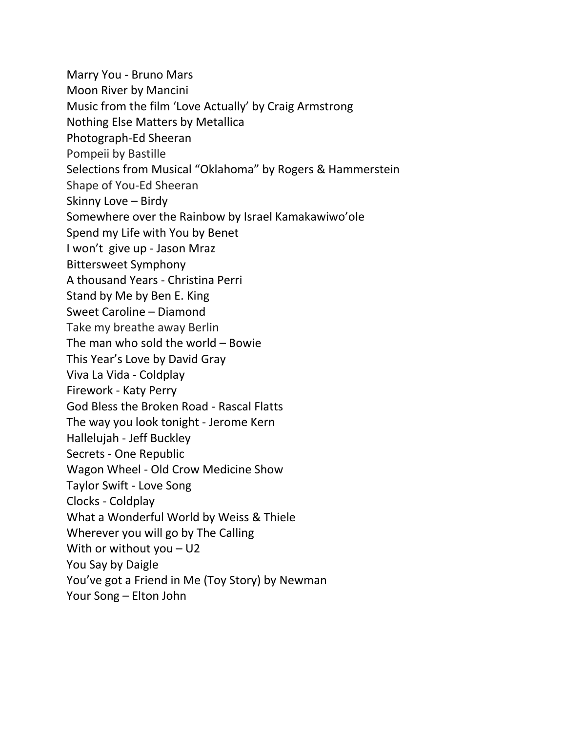Marry You - Bruno Mars Moon River by Mancini Music from the film 'Love Actually' by Craig Armstrong Nothing Else Matters by Metallica Photograph-Ed Sheeran Pompeii by Bastille Selections from Musical "Oklahoma" by Rogers & Hammerstein Shape of You-Ed Sheeran Skinny Love – Birdy Somewhere over the Rainbow by Israel Kamakawiwo'ole Spend my Life with You by Benet I won't give up - Jason Mraz Bittersweet Symphony A thousand Years - Christina Perri Stand by Me by Ben E. King Sweet Caroline – Diamond Take my breathe away Berlin The man who sold the world – Bowie This Year's Love by David Gray Viva La Vida - Coldplay Firework - Katy Perry God Bless the Broken Road - Rascal Flatts The way you look tonight - Jerome Kern Hallelujah - Jeff Buckley Secrets - One Republic Wagon Wheel - Old Crow Medicine Show Taylor Swift - Love Song Clocks - Coldplay What a Wonderful World by Weiss & Thiele Wherever you will go by The Calling With or without you – U2 You Say by Daigle You've got a Friend in Me (Toy Story) by Newman Your Song – Elton John